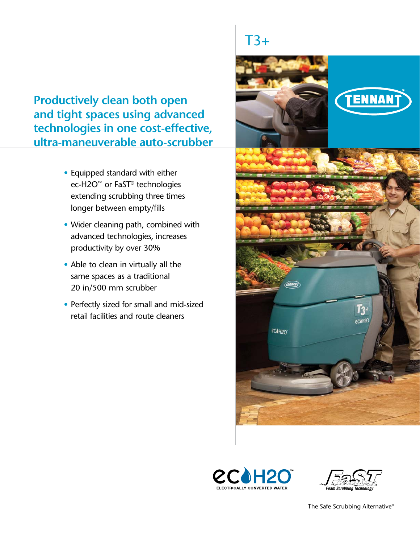**Productively clean both open and tight spaces using advanced technologies in one cost-effective, ultra-maneuverable auto-scrubber**

- Equipped standard with either ec-H2O™ or FaST® technologies extending scrubbing three times longer between empty/fills
- Wider cleaning path, combined with advanced technologies, increases productivity by over 30%
- Able to clean in virtually all the same spaces as a traditional 20 in/500 mm scrubber
- Perfectly sized for small and mid-sized retail facilities and route cleaners

# $T3+$







The Safe Scrubbing Alternative®